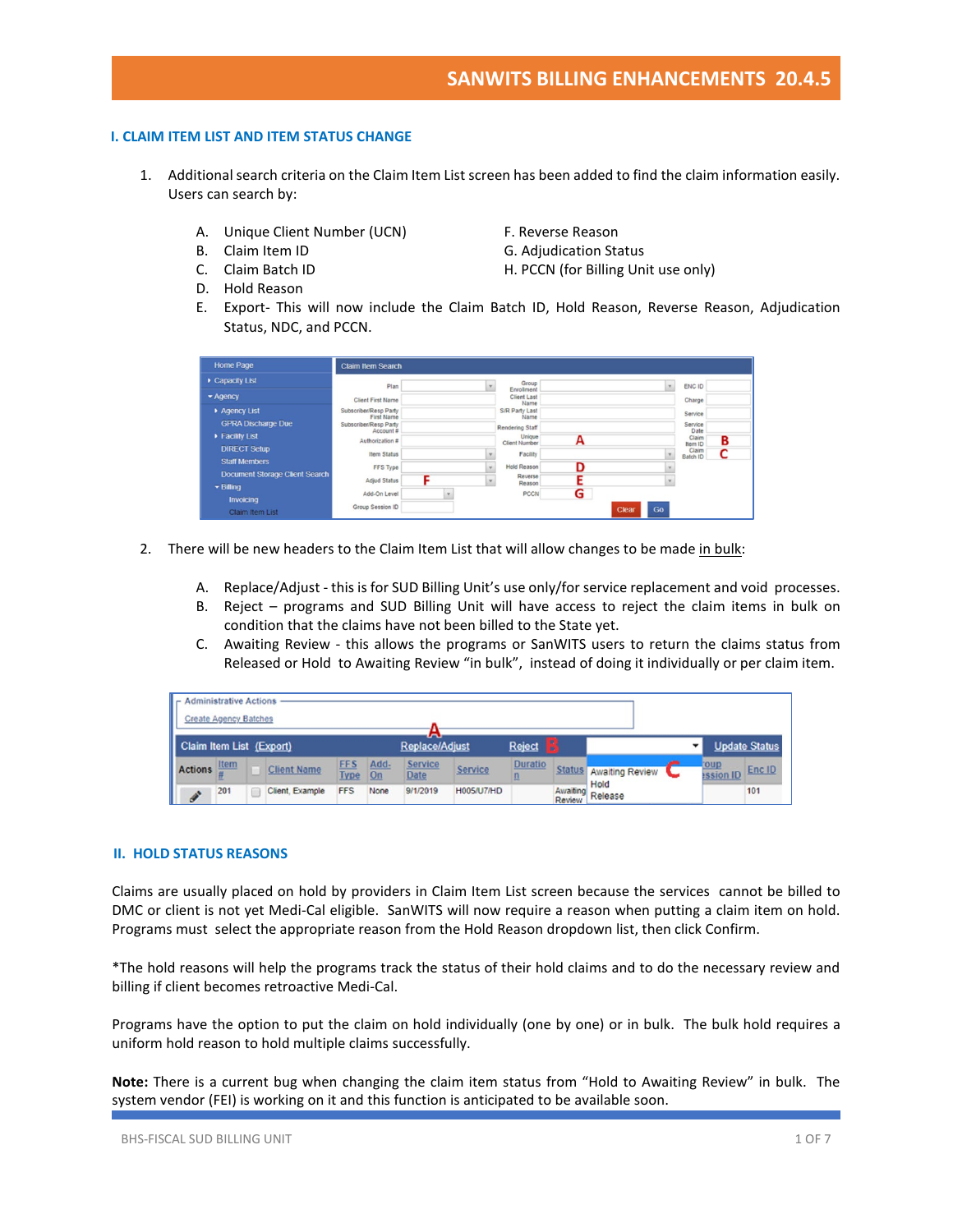## **I. CLAIM ITEM LIST AND ITEM STATUS CHANGE**

- 1. Additional search criteria on the Claim Item List screen has been added to find the claim information easily. Users can search by:
	- A. Unique Client Number (UCN) F. Reverse Reason
	- B. Claim Item ID G. Adjudication Status
	-
	- D. Hold Reason
- 
- 
- C. Claim Batch ID **H. PCCN** (for Billing Unit use only)
- E. Export- This will now include the Claim Batch ID, Hold Reason, Reverse Reason, Adjudication Status, NDC, and PCCN.

| <b>Home Page</b>                            | <b>Claim Item Search</b>                   |              |                                       |   |             |                       |
|---------------------------------------------|--------------------------------------------|--------------|---------------------------------------|---|-------------|-----------------------|
| Capacity List                               | Plan                                       | ٠            | Group<br>Enrollment                   |   |             | ENC ID                |
| $\blacktriangleright$ Agency                | <b>Client First Name</b>                   |              | <b>Client Last</b><br>Name            |   |             | Charge                |
| Agency List                                 | Subscriber/Resp Party<br><b>First Name</b> |              | S/R Party Last<br>Name                |   |             | Service               |
| <b>GPRA Discharge Due</b>                   | Subscriber/Resp Party<br>Account #         |              | Rendering Staff                       |   |             | Service<br>Date       |
| Facility List                               | Authorization #                            |              | <b>Unique</b><br><b>Client Number</b> | А |             | Claim<br>в<br>Item ID |
| <b>DIRECT Setup</b><br><b>Staff Members</b> | <b>Item Status</b>                         |              | Facility                              |   |             | Claim<br>Batch ID     |
| <b>Document Storage Client Search</b>       | FFS Type                                   | ٠            | <b>Hold Reason</b>                    | D |             |                       |
| $\blacktriangleright$ Billing               | <b>Adjud Status</b>                        | $\mathbf{v}$ | Reverse<br>Reason                     |   |             |                       |
| Invoicing                                   | Add-On Level                               |              | <b>PCCN</b>                           | G |             |                       |
| Claim Item List                             | Group Session ID                           |              |                                       |   | Go<br>Clear |                       |

- 2. There will be new headers to the Claim Item List that will allow changes to be made in bulk:
	- A. Replace/Adjust this is for SUD Billing Unit's use only/for service replacement and void processes.
	- B. Reject programs and SUD Billing Unit will have access to reject the claim items in bulk on condition that the claims have not been billed to the State yet.
	- C. Awaiting Review this allows the programs or SanWITS users to return the claims status from Released or Hold to Awaiting Review "in bulk", instead of doing it individually or per claim item.

| <b>Administrative Actions</b> |                              |                    |                           |            |                        |                |                 |        |                                |   |                                 |                      |
|-------------------------------|------------------------------|--------------------|---------------------------|------------|------------------------|----------------|-----------------|--------|--------------------------------|---|---------------------------------|----------------------|
|                               | <b>Create Agency Batches</b> |                    |                           |            | a.                     |                |                 |        |                                |   |                                 |                      |
| Claim Item List (Export)      |                              |                    |                           |            | <b>Replace/Adjust</b>  |                | Reject <b>N</b> |        |                                |   |                                 | <b>Update Status</b> |
| Actions                       | <b>Item</b>                  | <b>Client Name</b> | <b>FFS</b><br><b>Type</b> | Add-<br>On | Service<br><b>Date</b> | <b>Service</b> | <b>Duratio</b>  |        | Status Awaiting Review<br>Hold | _ | <b>coup</b><br><b>Ission ID</b> | Enc ID               |
| $\mathscr{I}$                 | 201                          | Client, Example    | <b>FFS</b>                | None       | 9/1/2019               | H005/U7/HD     |                 | Review | Awaiting Release               |   |                                 | 101                  |

### **II. HOLD STATUS REASONS**

Claims are usually placed on hold by providers in Claim Item List screen because the services cannot be billed to DMC or client is not yet Medi-Cal eligible. SanWITS will now require a reason when putting a claim item on hold. Programs must select the appropriate reason from the Hold Reason dropdown list, then click Confirm.

\*The hold reasons will help the programs track the status of their hold claims and to do the necessary review and billing if client becomes retroactive Medi-Cal.

Programs have the option to put the claim on hold individually (one by one) or in bulk. The bulk hold requires a uniform hold reason to hold multiple claims successfully.

**Note:** There is a current bug when changing the claim item status from "Hold to Awaiting Review" in bulk. The system vendor (FEI) is working on it and this function is anticipated to be available soon.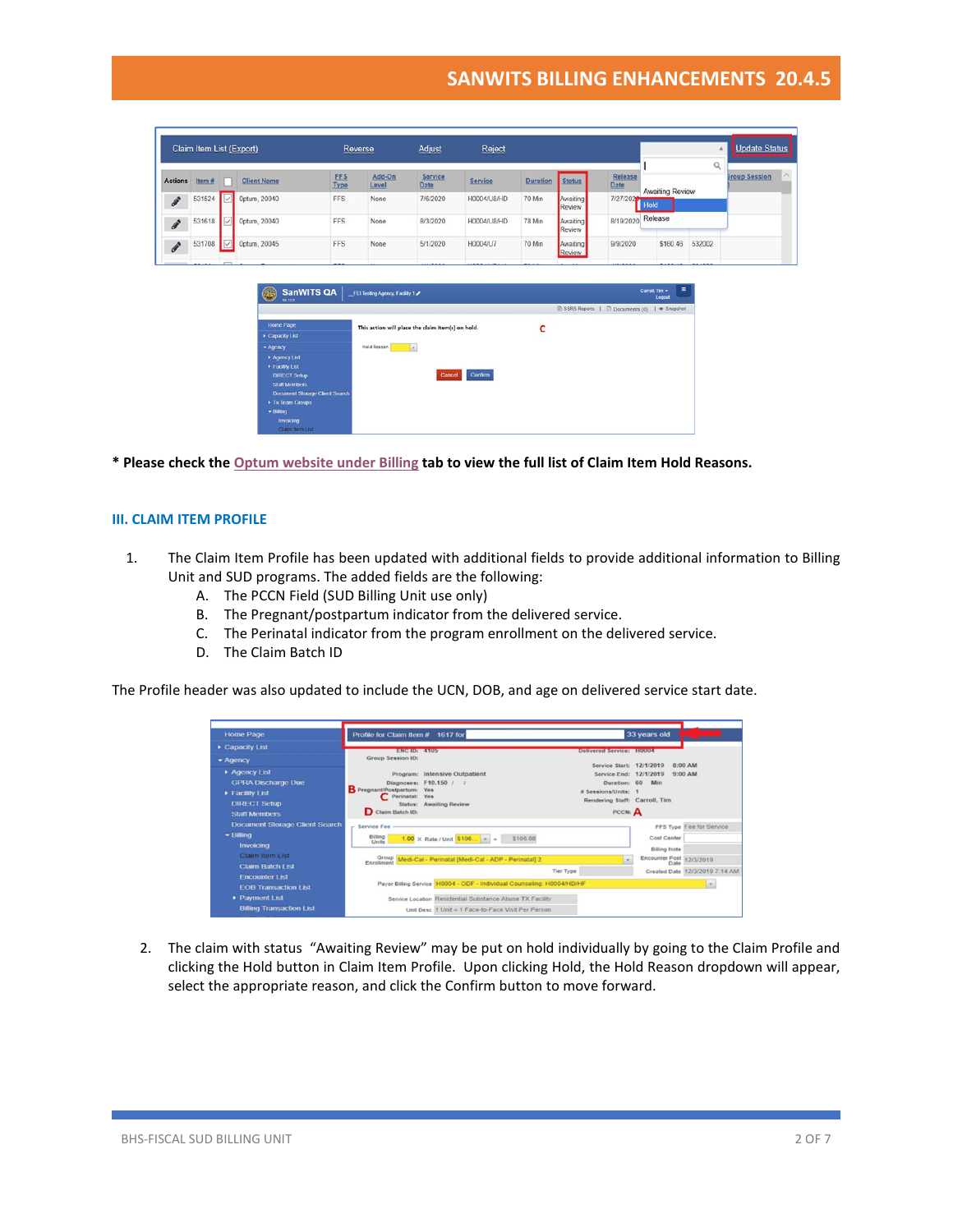|                            | Claim Item List (Export) |        |                                             |                    | Reverse                        | Adjust                                            | Reject      |                 |                    |                                                      |                            |          | <b>Update Status</b><br>ä        |
|----------------------------|--------------------------|--------|---------------------------------------------|--------------------|--------------------------------|---------------------------------------------------|-------------|-----------------|--------------------|------------------------------------------------------|----------------------------|----------|----------------------------------|
| <b>Actions</b>             | Item#                    |        | <b>Client Name</b>                          | <b>FFS</b><br>Type | Add-On<br>Level                | Service<br>Date                                   | Service     | <b>Duration</b> | <b>Status</b>      | Release<br>Date                                      | Awaiting Review            | $\alpha$ | <b>Sroup Session</b><br>$\wedge$ |
| $\boldsymbol{\mathscr{F}}$ | 531524                   | الربا. | Optum, 20040                                | <b>FFS</b>         | None                           | 7/6/2020                                          | H0004/U8/HD | 70 Min          | Awaiting<br>Review | 7/27/2020                                            | Hold                       |          |                                  |
| $\boldsymbol{\mathscr{E}}$ | 531618                   |        | Optum, 20040                                | <b>FFS</b>         | None                           | 8/3/2020                                          | H0004/U8/HD | 78 Min          | Awaiting<br>Review | 8/19/2020                                            | Release                    |          |                                  |
| $\boldsymbol{\mathscr{F}}$ | 531708                   | V      | 0ptum, 20045                                | <b>FFS</b>         | None                           | 5/1/2020                                          | H0004/U7    | 70 Min          | Awaiting<br>Review | 9/9/2020                                             | \$160.46                   | 532002   |                                  |
|                            |                          |        | SanWITS QA                                  |                    | FEI Testing Agency, Facility 1 |                                                   |             |                 |                    |                                                      | $\equiv$<br>Carroll. Tim = |          |                                  |
|                            |                          |        |                                             |                    |                                |                                                   |             |                 |                    |                                                      |                            |          |                                  |
|                            |                          |        | $\left( .\right)$<br>10120                  |                    |                                |                                                   |             |                 |                    | <b>■ SSRS Reports   ■ Documents (0)   ● Snapshot</b> | Logout                     |          |                                  |
|                            |                          |        | <b>Home Page</b><br>Capacity List           |                    |                                | This action will place the claim item(s) on hold. |             | C               |                    |                                                      |                            |          |                                  |
|                            |                          |        | * Agency                                    |                    | Hold Reason                    | E                                                 |             |                 |                    |                                                      |                            |          |                                  |
|                            |                          |        | Agency List                                 |                    |                                |                                                   |             |                 |                    |                                                      |                            |          |                                  |
|                            |                          |        | Facility List                               |                    |                                |                                                   |             |                 |                    |                                                      |                            |          |                                  |
|                            |                          |        | <b>DIRECT Setup</b><br><b>Staff Members</b> |                    |                                | Cancel                                            | Confirm     |                 |                    |                                                      |                            |          |                                  |
|                            |                          |        | <b>Document Storage Client Search</b>       |                    |                                |                                                   |             |                 |                    |                                                      |                            |          |                                  |
|                            |                          |        | Tx Team Groups                              |                    |                                |                                                   |             |                 |                    |                                                      |                            |          |                                  |
|                            |                          |        | $-$ Billing<br>Invoicing                    |                    |                                |                                                   |             |                 |                    |                                                      |                            |          |                                  |

**\* Please check th[e Optum website under Billing](https://www.optumsandiego.com/content/SanDiego/sandiego/en/county-staff---providers/dmc-ods.html) tab to view the full list of Claim Item Hold Reasons.**

#### **III. CLAIM ITEM PROFILE**

- 1. The Claim Item Profile has been updated with additional fields to provide additional information to Billing Unit and SUD programs. The added fields are the following:
	- A. The PCCN Field (SUD Billing Unit use only)
	- B. The Pregnant/postpartum indicator from the delivered service.
	- C. The Perinatal indicator from the program enrollment on the delivered service.
	- D. The Claim Batch ID

The Profile header was also updated to include the UCN, DOB, and age on delivered service start date.

| <b>Home Page</b>                                     | Profile for Claim Item # 1617 for                                                                              |                                                      | 33 years old                       |                                |
|------------------------------------------------------|----------------------------------------------------------------------------------------------------------------|------------------------------------------------------|------------------------------------|--------------------------------|
| Capacity List                                        | <b>ENGID: 4105</b>                                                                                             | Delivered Service: H0004                             |                                    |                                |
| $ightharpoonup$ Agency                               | <b>Group Session ID:</b>                                                                                       |                                                      |                                    |                                |
| Agency List<br><b>GPRA Discharge Due</b>             | Program: Intensive Outpatient<br>Diagnoses: F10.150 / /                                                        | Service Start: 12/1/2019<br>Duration: 60             | Service End: 12/1/2019<br>Min      | 8:00 AM<br>$9:00 \text{ AM}$   |
| <b>Facility List</b><br><b>DIRECT Setup</b>          | Pregnant/Postpartum: Yes<br>Perinatal: Yes<br><b>Status: Awaiting Review</b>                                   | # Sessions/Units: 1<br>Rendering Staff: Carroll, Tim |                                    |                                |
| <b>Staff Members</b>                                 | Claim Batch ID:                                                                                                | PCCN: A                                              |                                    |                                |
| <b>Document Storage Client Search</b>                | <b>Service Fee</b>                                                                                             |                                                      |                                    | FFS Type Fee for Service       |
| $\blacktriangleright$ Billing<br>Invoicing           | Billing<br>$1.00 \times$ Rate / Unit $5106$ =<br>\$106.08<br>Units                                             |                                                      | Cost Center<br><b>Billing Note</b> |                                |
| Claim Item List<br><b>Claim Batch List</b>           | Group Medi-Cal - Perinatal [Medi-Cal - ADP - Perinatal] 2<br><b>Tier Type</b>                                  |                                                      | Encounter Post 12/3/2019<br>Date   | Created Date 12/3/2019 7:14 AM |
| <b>Encounter List</b><br><b>EOB Transaction List</b> | Payor Billing Service H0004 - ODF - Individual Counseling: H0004/HD/HF                                         |                                                      |                                    | in the                         |
| Payment List<br><b>Billing Transaction List</b>      | Service Location Residential Substance Abuse TX Facility<br>Unit Desc 1 Unit = 1 Face-to-Face Visit Per Person |                                                      |                                    |                                |

2. The claim with status "Awaiting Review" may be put on hold individually by going to the Claim Profile and clicking the Hold button in Claim Item Profile. Upon clicking Hold, the Hold Reason dropdown will appear, select the appropriate reason, and click the Confirm button to move forward.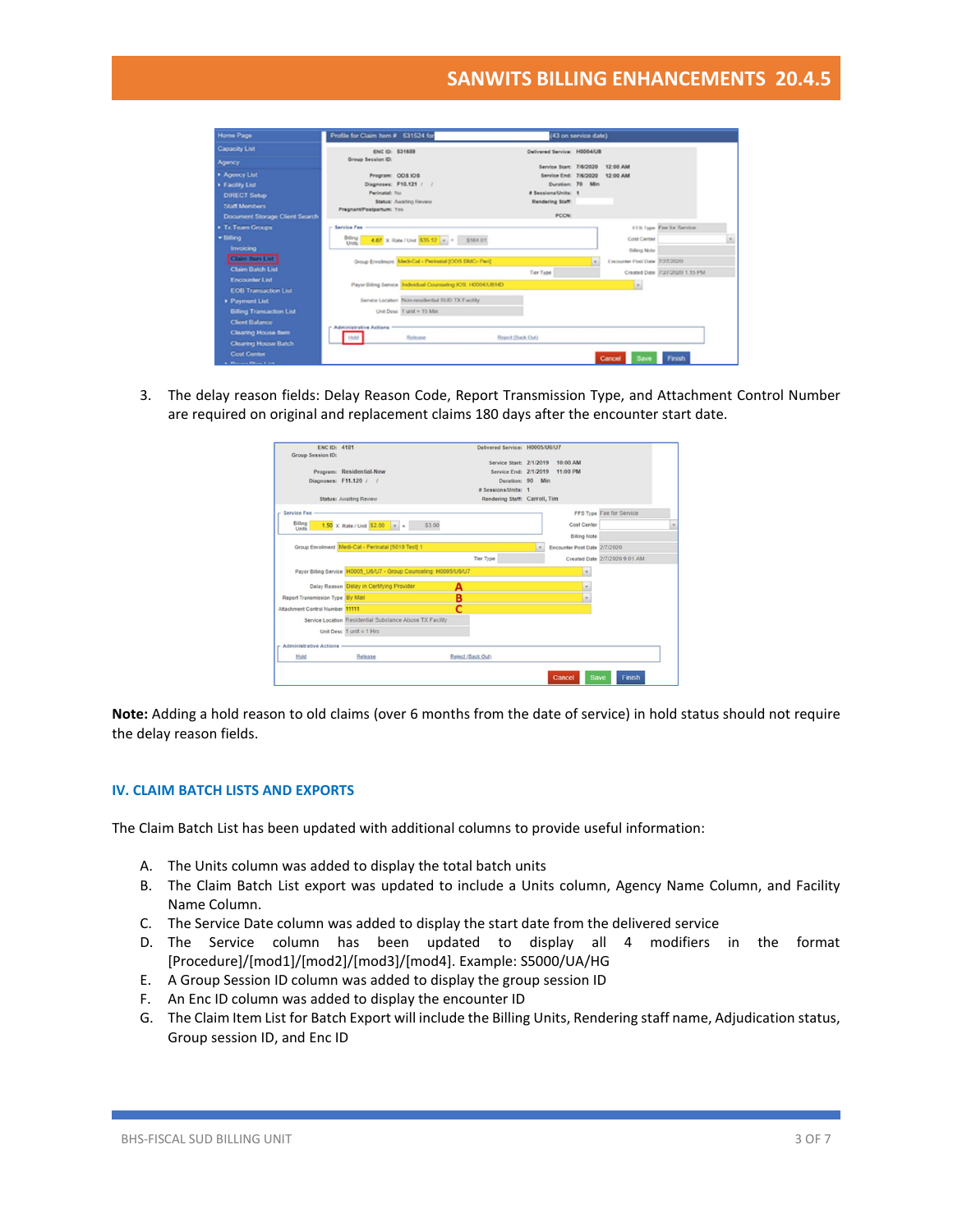| Home Page                             | Profile for Claim Item # 531524 for                          |                                                                    | (43 on service date) |                               |                                 |        |
|---------------------------------------|--------------------------------------------------------------|--------------------------------------------------------------------|----------------------|-------------------------------|---------------------------------|--------|
| Capacity List                         | ENC ID: 531659                                               | Delivered Service: H0004/UB                                        |                      |                               |                                 |        |
| Agency                                | Group Session ID:                                            |                                                                    |                      |                               |                                 |        |
| Agency List                           | Program: ODS IOS                                             | Service Start: 7/6/2020 12:00 AM<br>Service End: 7/6/2020 12:00 AM |                      |                               |                                 |        |
| > Facility List                       | Diagnoses: F10.121 / /                                       |                                                                    | Duration: 70 Min     |                               |                                 |        |
| <b>DIRECT Setup</b>                   | Perinatal: No.                                               | # Sessions/Units: 1                                                |                      |                               |                                 |        |
| <b>Staff Members</b>                  | Status: Awaiting Review                                      | Rendering Staff:                                                   |                      |                               |                                 |        |
|                                       | PregnantPostpartum: Yes                                      | PCCN:                                                              |                      |                               |                                 |        |
| <b>Document Storage Client Search</b> |                                                              |                                                                    |                      |                               |                                 |        |
| Tx Team Groups                        | <b>Service Fee</b>                                           |                                                                    |                      |                               | <b>FFS Type Fee for Service</b> |        |
| · Billing                             | Billing<br>Units<br>4.67 X Rate / Unit \$35.12 = = \$164.01  |                                                                    |                      | Cost Center                   |                                 | $\sim$ |
| <b>Invoicing</b>                      |                                                              |                                                                    |                      | Billing Note:                 |                                 |        |
| Claim ham List                        | Group Enrolmont Medi-Cal - Perinetal [ODS DMC- Peri]         |                                                                    | i w                  | Encounter Post Date 7/27/2020 |                                 |        |
| <b>Claim Batch List</b>               |                                                              | Tier Type                                                          |                      |                               | Created Date 7/27/2020 1.15 PM  |        |
| <b>Encounter List</b>                 | Payor Billing Service Individual Counseling IOS: H00041J814D |                                                                    |                      |                               |                                 |        |
| <b>EOB Transaction List</b>           |                                                              |                                                                    |                      | <b>Ist</b>                    |                                 |        |
| Payment List                          | Service Location Non-residential SUD TX Facility             |                                                                    |                      |                               |                                 |        |
| <b>Billing Transaction List</b>       | Unit Desc 1 unit = 15 Mm                                     |                                                                    |                      |                               |                                 |        |
| <b>Client Balance</b>                 |                                                              |                                                                    |                      |                               |                                 |        |
| <b>Clearing House Item</b>            | <b>Administrative Actions</b>                                |                                                                    |                      |                               |                                 |        |
| <b>Cleaning House Batch</b>           | Hold I<br>Release                                            | Reject (flack Out)                                                 |                      |                               |                                 |        |
| <b>Cost Contor</b>                    |                                                              |                                                                    |                      |                               |                                 |        |
| <b>Change Disn List</b>               |                                                              |                                                                    |                      | Cancel<br>Save                | Finish                          |        |

3. The delay reason fields: Delay Reason Code, Report Transmission Type, and Attachment Control Number are required on original and replacement claims 180 days after the encounter start date.

| <b>FNC ID: 4181</b><br><b>Group Session ID:</b> |                                                                   | Delivered Service: H0005/U6/U7 |              |                              |                               |                          |
|-------------------------------------------------|-------------------------------------------------------------------|--------------------------------|--------------|------------------------------|-------------------------------|--------------------------|
|                                                 |                                                                   | Service Start: 2/1/2019        |              | 10:00 AM                     |                               |                          |
|                                                 | Program: Residential-New                                          | Service End: 2/1/2019          |              | 11:00 PM                     |                               |                          |
| Diagnoses: F11.120 / /                          |                                                                   | Duration: 90 Min               |              |                              |                               |                          |
|                                                 |                                                                   | # Sessions/Units: 1            |              |                              |                               |                          |
|                                                 | <b>Status: Awaiting Review</b>                                    | Rendering Staff: Carroll, Tim  |              |                              |                               |                          |
| Service Fee -                                   |                                                                   |                                |              |                              | FFS Type Fee for Service      |                          |
| Billing                                         | \$3.00<br>$1.50 \times$ Rate / Unit \$2.00 $\rightarrow$ =        |                                |              | Cost Center                  |                               | $\overline{\phantom{a}}$ |
| Units                                           |                                                                   |                                |              |                              |                               |                          |
|                                                 |                                                                   |                                |              | <b>Billing Note</b>          |                               |                          |
|                                                 | Group Enrollment Medi-Cal - Perinatal [5010 Test] 1               |                                | $\mathbf{v}$ | Encounter Post Date 2/7/2020 |                               |                          |
|                                                 |                                                                   | <b>Tier Type</b>               |              |                              | Created Date 2/7/2020 9:01 AM |                          |
|                                                 | Payor Billing Service H0005 U6/U7 - Group Counseling: H0005/U6/U7 |                                |              | $\mathbf{v}$                 |                               |                          |
|                                                 | Delay Reason Delay in Certifying Provider                         | А                              |              | $\overline{\phantom{a}}$     |                               |                          |
| Report Transmission Type By Mail                |                                                                   | в                              |              | $\mathbf{v}$                 |                               |                          |
| Attachment Control Number 11111                 |                                                                   | r                              |              |                              |                               |                          |
|                                                 | Service Location Residential Substance Abuse TX Facility          |                                |              |                              |                               |                          |
|                                                 | Unit Desc $1$ unit = $1$ Hrs                                      |                                |              |                              |                               |                          |
| <b>Administrative Actions</b>                   |                                                                   |                                |              |                              |                               |                          |
| Hold                                            | Release                                                           | Reject (Back Out)              |              |                              |                               |                          |
|                                                 |                                                                   |                                |              |                              |                               |                          |
|                                                 |                                                                   |                                |              | Save<br>Cancel               | Finish                        |                          |

**Note:** Adding a hold reason to old claims (over 6 months from the date of service) in hold status should not require the delay reason fields.

## **IV. CLAIM BATCH LISTS AND EXPORTS**

The Claim Batch List has been updated with additional columns to provide useful information:

- A. The Units column was added to display the total batch units
- B. The Claim Batch List export was updated to include a Units column, Agency Name Column, and Facility Name Column.
- C. The Service Date column was added to display the start date from the delivered service
- D. The Service column has been updated to display all 4 modifiers in the format [Procedure]/[mod1]/[mod2]/[mod3]/[mod4]. Example: S5000/UA/HG
- E. A Group Session ID column was added to display the group session ID
- F. An Enc ID column was added to display the encounter ID
- G. The Claim Item List for Batch Export will include the Billing Units, Rendering staff name, Adjudication status, Group session ID, and Enc ID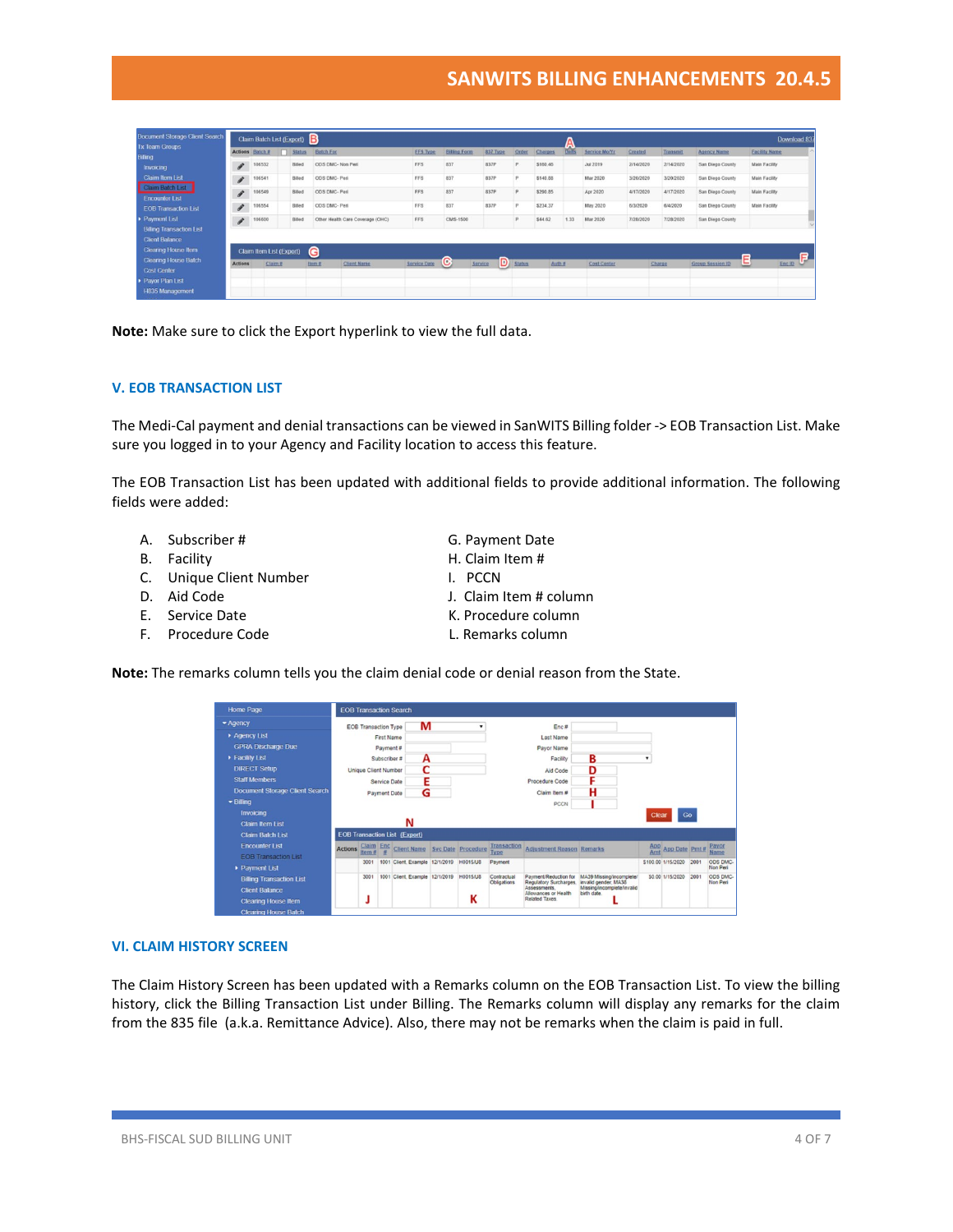| <b>Document Storage Client Search</b>                    |                                                   | Claim Batch List (Export) |               |                                     |                 |                     |              |              |          | W     |                      |           |           |                         | Download 837                       |
|----------------------------------------------------------|---------------------------------------------------|---------------------------|---------------|-------------------------------------|-----------------|---------------------|--------------|--------------|----------|-------|----------------------|-----------|-----------|-------------------------|------------------------------------|
| <b>Tx Team Groups</b><br><b>Billing</b>                  | <b>Actions</b>                                    | Batch #                   | <b>Status</b> | <b>Batch For</b>                    | <b>FFS Type</b> | <b>Billing Form</b> | 837 Type     | Order        | Charges  | Units | <b>Service Mo/Yr</b> | Created   | Transmit  | <b>Agency Name</b>      | <b>Facility Name</b>               |
| Invoicing                                                | ¥                                                 | 106532                    | Billed        | ODS DMC- Non Peri                   | FFS             | 837                 | 837P         | $\mathbf{D}$ | \$160.46 |       | <b>Jul 2019</b>      | 2/14/2020 | 2/14/2020 | San Diego County        | Main Facility                      |
| <b>Claim Item List</b>                                   | $\mathcal{S}$                                     | 106541                    | Billed        | ODS DMC- Peri                       | FFS             | 837                 | 837P         | $\mathbf{D}$ | \$140.88 |       | <b>Mar 2020</b>      | 3/20/2020 | 3/20/2020 | San Diego County        | Main Facility                      |
| Claim Batch List<br><b>Encounter List</b>                | $\begin{array}{c} \bullet \\ \bullet \end{array}$ | 106549                    | Billed        | ODS DMC- Peri                       | FFS             | 837                 | 837P         | P.           | \$290.85 |       | Apr 2020             | 4/17/2020 | 4/17/2020 | San Diego County        | Main Facility                      |
| <b>EOB Transaction List</b>                              | F                                                 | 106554                    | Billed        | ODS DMC- Peri                       | <b>FFS</b>      | 837                 | 837P         | $\sim$       | \$234.37 |       | <b>May 2020</b>      | 6/3/2020  | 6/4/2020  | San Diego County        | <b>Main Facility</b>               |
| Payment List                                             | $\begin{array}{c} \bullet \\ \bullet \end{array}$ | 106600                    | Billed        | Other Health Care Coverage (OHC)    | <b>FFS</b>      | CMS-1500            |              | p            | \$44.62  | 1.33  | Mar 2020             | 7/28/2020 | 7/28/2020 | San Diego County        |                                    |
| <b>Billing Transaction List</b><br><b>Client Balance</b> |                                                   |                           |               |                                     |                 |                     |              |              |          |       |                      |           |           |                         |                                    |
| Clearing House Item                                      |                                                   | Claim Item List (Export)  |               | G                                   |                 |                     |              |              |          |       |                      |           |           |                         |                                    |
| <b>Clearing House Batch</b>                              | <b>Actions</b>                                    | Claim#                    |               | <b>Client Name</b><br><b>Item #</b> | Service Date    | O                   | D<br>Service | Status       | Auth #   |       | Cost Center          |           | Charge    | <b>Group Session ID</b> | $\blacksquare$<br>Ξ<br>ت<br>Enc ID |
| <b>Cost Center</b><br>Payor Plan List                    |                                                   |                           |               |                                     |                 |                     |              |              |          |       |                      |           |           |                         |                                    |
| <b>H835 Management</b>                                   |                                                   |                           |               |                                     |                 |                     |              |              |          |       |                      |           |           |                         |                                    |

**Note:** Make sure to click the Export hyperlink to view the full data.

### **V. EOB TRANSACTION LIST**

The Medi-Cal payment and denial transactions can be viewed in SanWITS Billing folder -> EOB Transaction List. Make sure you logged in to your Agency and Facility location to access this feature.

The EOB Transaction List has been updated with additional fields to provide additional information. The following fields were added:

- A. Subscriber # G. Payment Date
- B. Facility **H. Claim Item #**
- C. Unique Client Number 1. PCCN
- 
- 
- 
- 
- 
- 
- D. Aid Code J. Claim Item # column
- E. Service Date **K. Procedure column**
- F. Procedure Code **L. Remarks column**

**Note:** The remarks column tells you the claim denial code or denial reason from the State.

| Home Page                                                                              |                |                             |                     | <b>EOB Transaction Search</b>        |           |                    |                            |                                                                                                         |                                                                                              |                   |                    |      |                      |
|----------------------------------------------------------------------------------------|----------------|-----------------------------|---------------------|--------------------------------------|-----------|--------------------|----------------------------|---------------------------------------------------------------------------------------------------------|----------------------------------------------------------------------------------------------|-------------------|--------------------|------|----------------------|
| $ightharpoonup$ Agency                                                                 |                | <b>EOB Transaction Type</b> |                     | м                                    |           |                    |                            | Enc#                                                                                                    |                                                                                              |                   |                    |      |                      |
| Agency List                                                                            |                |                             | <b>First Name</b>   |                                      |           |                    |                            | Last Name                                                                                               |                                                                                              |                   |                    |      |                      |
| <b>GPRA Discharge Due</b>                                                              |                |                             | Payment#            |                                      |           |                    |                            | Payor Name                                                                                              |                                                                                              |                   |                    |      |                      |
| Facility List                                                                          |                |                             | Subscriber #        | А                                    |           |                    |                            | Facility                                                                                                | в                                                                                            |                   |                    |      |                      |
| <b>DIRECT Setup</b>                                                                    |                | <b>Unique Client Number</b> |                     | r                                    |           |                    |                            | Aid Code                                                                                                | D                                                                                            |                   |                    |      |                      |
| <b>Staff Members</b>                                                                   |                |                             | Service Date        | F                                    |           |                    |                            | Procedure Code                                                                                          |                                                                                              |                   |                    |      |                      |
| <b>Document Storage Client Search</b>                                                  |                |                             | <b>Payment Date</b> | G                                    |           |                    |                            | Claim Item #                                                                                            | н                                                                                            |                   |                    |      |                      |
| $\blacktriangleright$ Billing                                                          |                |                             |                     |                                      |           |                    |                            | PCCN                                                                                                    |                                                                                              |                   |                    |      |                      |
| <b>Invoicing</b>                                                                       |                |                             |                     |                                      |           |                    |                            |                                                                                                         |                                                                                              | Clear             | Go                 |      |                      |
| <b>Claim Item List</b>                                                                 |                |                             |                     | N                                    |           |                    |                            |                                                                                                         |                                                                                              |                   |                    |      |                      |
| <b>Claim Batch List</b>                                                                |                |                             |                     | <b>EOB Transaction List (Export)</b> |           |                    |                            |                                                                                                         |                                                                                              |                   |                    |      |                      |
| <b>Encounter List</b><br><b>EOB Transaction List</b>                                   | <b>Actions</b> | Claim Enc<br>Item #         |                     | Client Name                          |           | Svc Date Procedure | Transaction<br><b>Type</b> | <b>Adjustment Reason Remarks</b>                                                                        |                                                                                              | <b>App</b><br>Amt | App Date Pmt#      |      | Payor<br>Name        |
| Payment List                                                                           |                | 3001                        |                     | 1001 Client, Example                 | 12/1/2019 | H0015/U8           | Payment                    |                                                                                                         |                                                                                              |                   | \$100.00 1/15/2020 | 2001 | ODS DMC-<br>Non Peri |
| <b>Billing Transaction List</b><br><b>Client Balance</b><br><b>Clearing House Item</b> |                | 3001                        |                     | 1001 Client Example 12/1/2019        |           | H0015/U8<br>К      | Contractual<br>Obligations | Payment/Reduction for<br>Regulatory Surcharges.<br>Assessments<br>Allowances or Health<br>Related Taxes | MA39 Missing/incomplete/<br>invalid gender: MA38<br>Missing/incomplete/invalid<br>birth date |                   | \$0.00 1/15/2020   | 2001 | ODS DMC-<br>Non Peri |

#### **VI. CLAIM HISTORY SCREEN**

The Claim History Screen has been updated with a Remarks column on the EOB Transaction List. To view the billing history, click the Billing Transaction List under Billing. The Remarks column will display any remarks for the claim from the 835 file (a.k.a. Remittance Advice). Also, there may not be remarks when the claim is paid in full.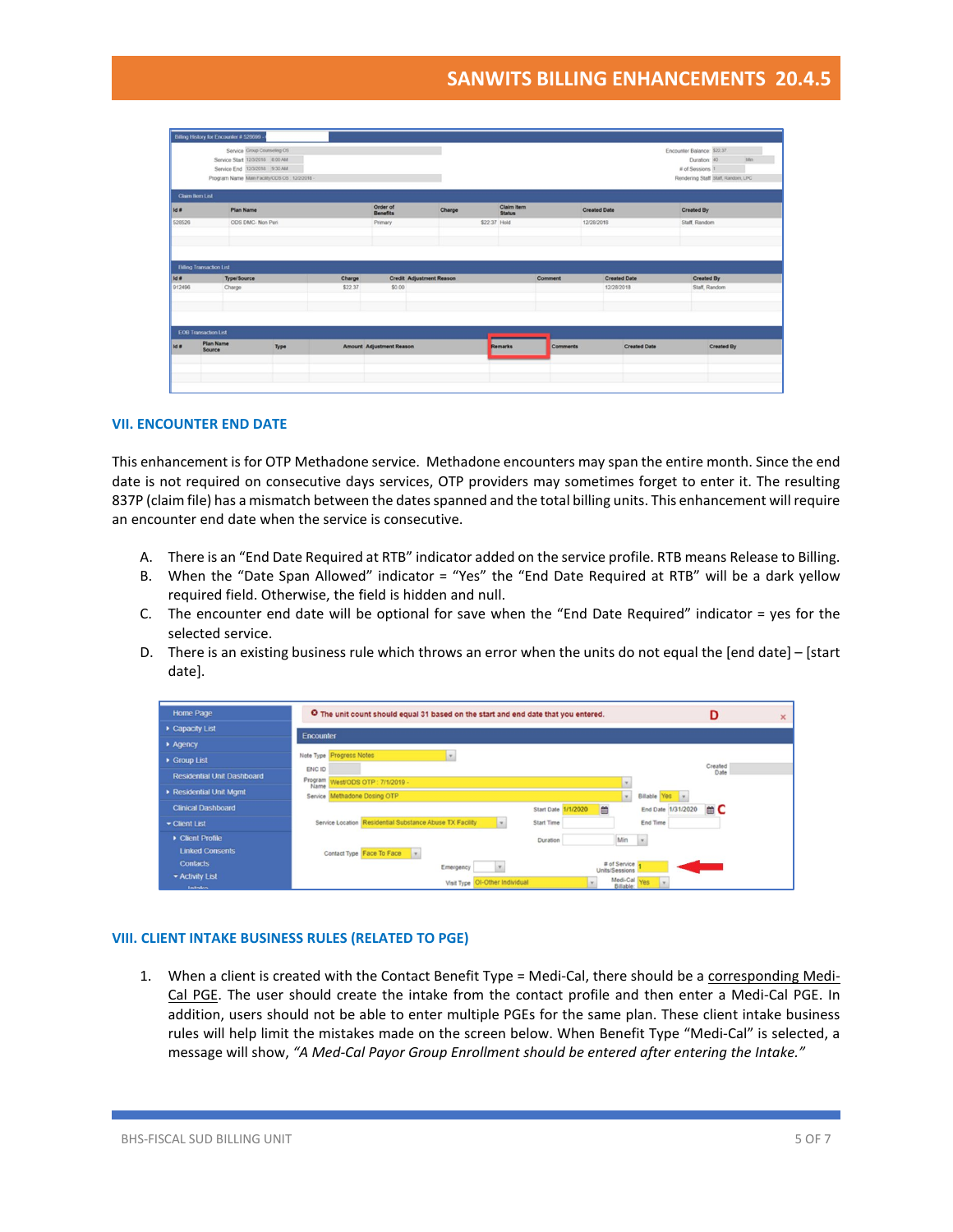| Service Group Counseling OS<br>Service Start 12/3/2018 8:00 AM<br>Service End 12/3/2018 9:30 AM<br>Program Name Main Facility/COS OS 12/2/2018 -<br>Claim Item List<br><b>Plan Name</b><br>ODS DMC- Non Peri |         | Order of<br><b>Benefits</b> |                          |                                    |                 |                     | Encounter Balance: \$22.37<br>Duration: 40<br># of Sessions 1<br>Rendering Staff Staff, Random, LPC | Afin       |
|--------------------------------------------------------------------------------------------------------------------------------------------------------------------------------------------------------------|---------|-----------------------------|--------------------------|------------------------------------|-----------------|---------------------|-----------------------------------------------------------------------------------------------------|------------|
|                                                                                                                                                                                                              |         |                             |                          |                                    |                 |                     |                                                                                                     |            |
|                                                                                                                                                                                                              |         |                             |                          |                                    |                 |                     |                                                                                                     |            |
|                                                                                                                                                                                                              |         |                             |                          |                                    |                 |                     |                                                                                                     |            |
|                                                                                                                                                                                                              |         |                             |                          |                                    |                 |                     |                                                                                                     |            |
|                                                                                                                                                                                                              |         |                             |                          |                                    |                 |                     |                                                                                                     |            |
|                                                                                                                                                                                                              |         |                             | Charge                   | <b>Claim Item</b><br><b>Status</b> |                 | <b>Created Date</b> | <b>Created By</b>                                                                                   |            |
|                                                                                                                                                                                                              |         | Primary                     |                          | \$22.37 Hold                       |                 | 12/28/2018          | Staff, Random                                                                                       |            |
|                                                                                                                                                                                                              |         |                             |                          |                                    |                 |                     |                                                                                                     |            |
|                                                                                                                                                                                                              |         |                             |                          |                                    |                 |                     |                                                                                                     |            |
| <b>Billing Transaction List</b>                                                                                                                                                                              |         |                             |                          |                                    |                 |                     |                                                                                                     |            |
| <b>Type/Source</b>                                                                                                                                                                                           | Charge  |                             |                          |                                    | Comment         | <b>Created Date</b> | <b>Created By</b>                                                                                   |            |
| Charge                                                                                                                                                                                                       | \$22.37 | \$0.00                      |                          |                                    |                 | 12/28/2018          | Staff, Random                                                                                       |            |
|                                                                                                                                                                                                              |         |                             |                          |                                    |                 |                     |                                                                                                     |            |
|                                                                                                                                                                                                              |         |                             |                          |                                    |                 |                     |                                                                                                     |            |
|                                                                                                                                                                                                              |         |                             |                          |                                    |                 |                     |                                                                                                     |            |
| <b>EOB Transaction List</b>                                                                                                                                                                                  |         |                             |                          |                                    |                 |                     |                                                                                                     |            |
| <b>Plan Name</b><br>Type<br>Source                                                                                                                                                                           |         |                             |                          | Remarks                            | <b>Comments</b> | <b>Created Date</b> |                                                                                                     | Created By |
|                                                                                                                                                                                                              |         |                             |                          |                                    |                 |                     |                                                                                                     |            |
|                                                                                                                                                                                                              |         |                             |                          |                                    |                 |                     |                                                                                                     |            |
|                                                                                                                                                                                                              |         |                             | Amount Adjustment Reason | <b>Credit Adjustment Reason</b>    |                 |                     |                                                                                                     |            |

#### **VII. ENCOUNTER END DATE**

This enhancement is for OTP Methadone service. Methadone encounters may span the entire month. Since the end date is not required on consecutive days services, OTP providers may sometimes forget to enter it. The resulting 837P (claim file) has a mismatch between the dates spanned and the total billing units. This enhancement will require an encounter end date when the service is consecutive.

- A. There is an "End Date Required at RTB" indicator added on the service profile. RTB means Release to Billing.
- B. When the "Date Span Allowed" indicator = "Yes" the "End Date Required at RTB" will be a dark yellow required field. Otherwise, the field is hidden and null.
- C. The encounter end date will be optional for save when the "End Date Required" indicator = yes for the selected service.
- D. There is an existing business rule which throws an error when the units do not equal the [end date] [start date].



### **VIII. CLIENT INTAKE BUSINESS RULES (RELATED TO PGE)**

1. When a client is created with the Contact Benefit Type = Medi-Cal, there should be a corresponding Medi-Cal PGE. The user should create the intake from the contact profile and then enter a Medi-Cal PGE. In addition, users should not be able to enter multiple PGEs for the same plan. These client intake business rules will help limit the mistakes made on the screen below. When Benefit Type "Medi-Cal" is selected, a message will show, *"A Med-Cal Payor Group Enrollment should be entered after entering the Intake."*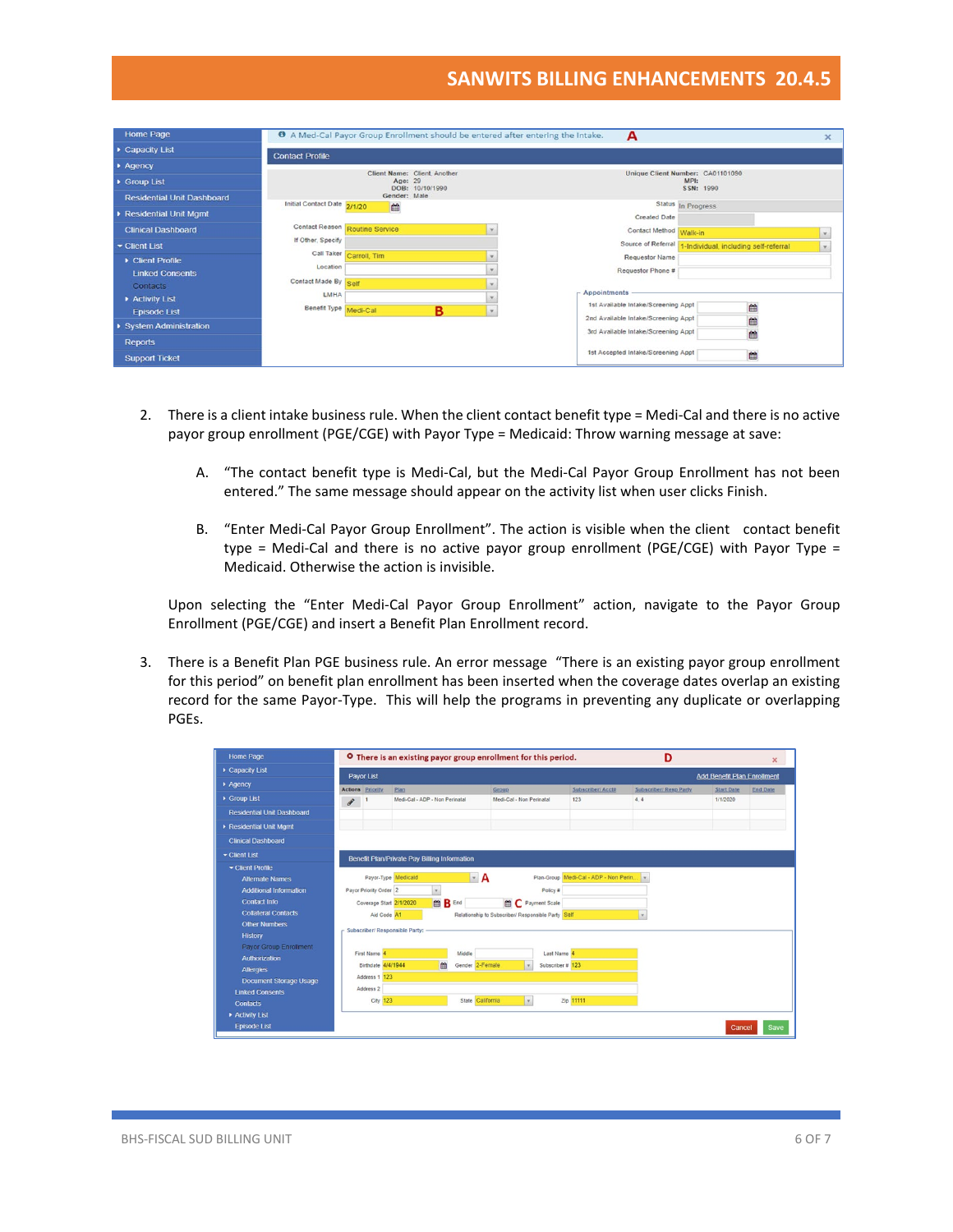| <b>Home Page</b>                  |                                |                              |   |               | <sup>O</sup> A Med-Cal Payor Group Enrollment should be entered after entering the Intake. | А                                   |                    |                                       | $\mathbf x$ |
|-----------------------------------|--------------------------------|------------------------------|---|---------------|--------------------------------------------------------------------------------------------|-------------------------------------|--------------------|---------------------------------------|-------------|
| Capacity List                     | <b>Contact Profile</b>         |                              |   |               |                                                                                            |                                     |                    |                                       |             |
| Agency                            |                                | Client Name: Client, Another |   |               |                                                                                            | Unique Client Number: CA01101090    |                    |                                       |             |
| Group List                        |                                | Age: 29<br>DOB: 10/10/1990   |   |               |                                                                                            |                                     | MP1:<br>SSN: 1990  |                                       |             |
| <b>Residential Unit Dashboard</b> |                                | Gender: Male                 |   |               |                                                                                            |                                     |                    |                                       |             |
| Residential Unit Mgmt             | Initial Contact Date 2/1/20    | 曲                            |   |               |                                                                                            | <b>Created Date</b>                 | Status In Progress |                                       |             |
| <b>Clinical Dashboard</b>         | Contact Reason Routine Service |                              |   | $\mathbf{v}$  |                                                                                            | Contact Method Walk-in              |                    |                                       |             |
| Client List                       | If Other, Specify              |                              |   |               |                                                                                            | Source of Referral                  |                    | 1-Individual, including self-referral |             |
| Client Profile                    |                                | Call Taker Carroll, Tim      |   | $\rightarrow$ |                                                                                            | <b>Requestor Name</b>               |                    |                                       |             |
| <b>Linked Consents</b>            | Location                       |                              |   | $\rightarrow$ |                                                                                            | Requestor Phone #                   |                    |                                       |             |
| Contacts                          | Contact Made By Self<br>LMHA   |                              |   |               | $-$ Appointments                                                                           |                                     |                    |                                       |             |
| Activity List                     | Benefit Type Medi-Cal          |                              |   | $\rightarrow$ |                                                                                            | 1st Available Intake/Screening Appt |                    | 曲                                     |             |
| <b>Episode List</b>               |                                |                              | в |               |                                                                                            | 2nd Available Intake/Screening Appt |                    | m                                     |             |
| ▶ System Administration           |                                |                              |   |               |                                                                                            | 3rd Available Intake/Screening Appt |                    | ₩                                     |             |
| <b>Reports</b>                    |                                |                              |   |               |                                                                                            | 1st Accepted Intake/Screening Appt  |                    | 曲                                     |             |
| <b>Support Ticket</b>             |                                |                              |   |               |                                                                                            |                                     |                    |                                       |             |

- 2. There is a client intake business rule. When the client contact benefit type = Medi-Cal and there is no active payor group enrollment (PGE/CGE) with Payor Type = Medicaid: Throw warning message at save:
	- A. "The contact benefit type is Medi-Cal, but the Medi-Cal Payor Group Enrollment has not been entered." The same message should appear on the activity list when user clicks Finish.
	- B. "Enter Medi-Cal Payor Group Enrollment". The action is visible when the client contact benefit type = Medi-Cal and there is no active payor group enrollment (PGE/CGE) with Payor Type = Medicaid. Otherwise the action is invisible.

Upon selecting the "Enter Medi-Cal Payor Group Enrollment" action, navigate to the Payor Group Enrollment (PGE/CGE) and insert a Benefit Plan Enrollment record.

3. There is a Benefit Plan PGE business rule. An error message "There is an existing payor group enrollment for this period" on benefit plan enrollment has been inserted when the coverage dates overlap an existing record for the same Payor-Type. This will help the programs in preventing any duplicate or overlapping PGEs.

| Home Page                         |                            |                         | O There is an existing payor group enrollment for this period. |                  |                                                    |                  |                                       | D                             |                                    | $\mathbf{x}$    |
|-----------------------------------|----------------------------|-------------------------|----------------------------------------------------------------|------------------|----------------------------------------------------|------------------|---------------------------------------|-------------------------------|------------------------------------|-----------------|
| Capacity List                     |                            | Payor List              |                                                                |                  |                                                    |                  |                                       |                               | <b>Add Benefit Plan Enrollment</b> |                 |
| $\rightharpoonup$ Agency          |                            | <b>Actions Priority</b> | Plan                                                           |                  | Group                                              |                  | Subscriber/ Acct#                     | <b>Subscriber/ Resp Party</b> | <b>Start Date</b>                  | <b>End Date</b> |
| Group List                        | $\boldsymbol{\mathcal{F}}$ |                         | Medi-Cal - ADP - Non Perinatal                                 |                  | Medi-Cal - Non Perinatal                           |                  | 123                                   | 4, 4                          | 1/1/2020                           |                 |
| <b>Residential Unit Dashboard</b> |                            |                         |                                                                |                  |                                                    |                  |                                       |                               |                                    |                 |
| Residential Unit Mgmt             |                            |                         |                                                                |                  |                                                    |                  |                                       |                               |                                    |                 |
| <b>Clinical Dashboard</b>         |                            |                         |                                                                |                  |                                                    |                  |                                       |                               |                                    |                 |
| Client List                       |                            |                         | <b>Benefit Plan/Private Pay Billing Information</b>            |                  |                                                    |                  |                                       |                               |                                    |                 |
| Client Profile                    |                            |                         |                                                                |                  |                                                    |                  |                                       |                               |                                    |                 |
| <b>Alternate Names</b>            |                            |                         | Payor-Type Medicaid                                            | $\cdot$ A        |                                                    |                  | Plan-Group Medi-Cal - ADP - Non Perin |                               |                                    |                 |
| <b>Additional Information</b>     |                            | Payor Priority Order 2  | $\mathbf{v}$                                                   |                  |                                                    | Policy #         |                                       |                               |                                    |                 |
| <b>Contact Info</b>               |                            |                         | ■ B End<br>Coverage Start 2/1/2020                             |                  | <b>ED</b> Payment Scale                            |                  |                                       |                               |                                    |                 |
| <b>Collateral Contacts</b>        |                            | Aid Code A1             |                                                                |                  | Relationship to Subscriber/ Responsible Party Self |                  |                                       | $\mathbf{v}$                  |                                    |                 |
| <b>Other Numbers</b>              |                            |                         | Subscriber/ Responsible Party:                                 |                  |                                                    |                  |                                       |                               |                                    |                 |
| <b>History</b>                    |                            |                         |                                                                |                  |                                                    |                  |                                       |                               |                                    |                 |
| Payor Group Enrollment            |                            | First Name 4            |                                                                | Middle           |                                                    | Last Name 4      |                                       |                               |                                    |                 |
| <b>Authorization</b>              |                            | Birthdate 4/4/1944      | m                                                              | Gender 2-Female  | $\mathbf{v}$                                       | Subscriber # 123 |                                       |                               |                                    |                 |
| <b>Allergies</b>                  |                            |                         |                                                                |                  |                                                    |                  |                                       |                               |                                    |                 |
| <b>Document Storage Usage</b>     |                            | Address 1 123           |                                                                |                  |                                                    |                  |                                       |                               |                                    |                 |
| <b>Linked Consents</b>            |                            | Address 2               |                                                                |                  |                                                    |                  |                                       |                               |                                    |                 |
| <b>Contacts</b>                   |                            | City 123                |                                                                | State California | $\mathbf{v}_\parallel$                             |                  | Zip 11111                             |                               |                                    |                 |
| Activity List                     |                            |                         |                                                                |                  |                                                    |                  |                                       |                               |                                    |                 |
| <b>Episode List</b>               |                            |                         |                                                                |                  |                                                    |                  |                                       |                               | Cancel                             | <b>Save</b>     |